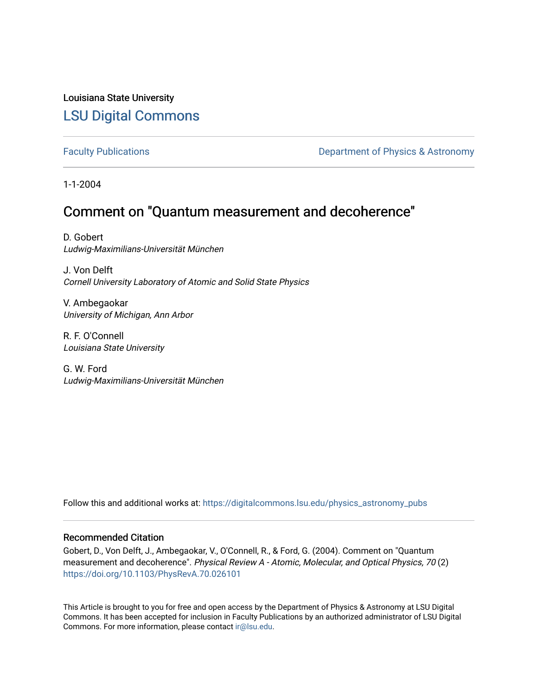## Louisiana State University [LSU Digital Commons](https://digitalcommons.lsu.edu/)

[Faculty Publications](https://digitalcommons.lsu.edu/physics_astronomy_pubs) **Exercise 2 and Table 2 and Table 2 and Table 2 and Table 2 and Table 2 and Table 2 and Table 2 and Table 2 and Table 2 and Table 2 and Table 2 and Table 2 and Table 2 and Table 2 and Table 2 and Table** 

1-1-2004

# Comment on "Quantum measurement and decoherence"

D. Gobert Ludwig-Maximilians-Universität München

J. Von Delft Cornell University Laboratory of Atomic and Solid State Physics

V. Ambegaokar University of Michigan, Ann Arbor

R. F. O'Connell Louisiana State University

G. W. Ford Ludwig-Maximilians-Universität München

Follow this and additional works at: [https://digitalcommons.lsu.edu/physics\\_astronomy\\_pubs](https://digitalcommons.lsu.edu/physics_astronomy_pubs?utm_source=digitalcommons.lsu.edu%2Fphysics_astronomy_pubs%2F3898&utm_medium=PDF&utm_campaign=PDFCoverPages) 

## Recommended Citation

Gobert, D., Von Delft, J., Ambegaokar, V., O'Connell, R., & Ford, G. (2004). Comment on "Quantum measurement and decoherence". Physical Review A - Atomic, Molecular, and Optical Physics, 70 (2) <https://doi.org/10.1103/PhysRevA.70.026101>

This Article is brought to you for free and open access by the Department of Physics & Astronomy at LSU Digital Commons. It has been accepted for inclusion in Faculty Publications by an authorized administrator of LSU Digital Commons. For more information, please contact [ir@lsu.edu](mailto:ir@lsu.edu).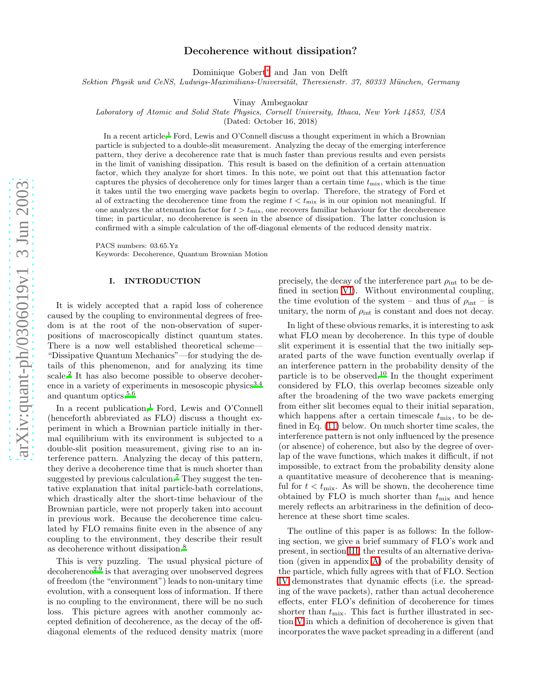## Decoherence without dissipation?

Dominique Gobert [∗](#page-8-0) and Jan von Delft

Sektion Physik und CeNS, Ludwigs-Maximilians-Universität, Theresienstr. 37, 80333 München, Germany

Vinay Ambegaokar

Laboratory of Atomic and Solid State Physics, Cornell University, Ithaca, New York 14853, USA

(Dated: October 16, 2018)

In a recent article,<sup>[1](#page-8-1)</sup> Ford, Lewis and O'Connell discuss a thought experiment in which a Brownian particle is subjected to a double-slit measurement. Analyzing the decay of the emerging interference pattern, they derive a decoherence rate that is much faster than previous results and even persists in the limit of vanishing dissipation. This result is based on the definition of a certain attenuation factor, which they analyze for short times. In this note, we point out that this attenuation factor captures the physics of decoherence only for times larger than a certain time  $t_{\rm mix}$ , which is the time it takes until the two emerging wave packets begin to overlap. Therefore, the strategy of Ford et al of extracting the decoherence time from the regime  $t < t_{\text{mix}}$  is in our opinion not meaningful. If one analyzes the attenuation factor for  $t > t_{\text{mix}}$ , one recovers familiar behaviour for the decoherence time; in particular, no decoherence is seen in the absence of dissipation. The latter conclusion is confirmed with a simple calculation of the off-diagonal elements of the reduced density matrix.

PACS numbers: 03.65.Yz Keywords: Decoherence, Quantum Brownian Motion

#### I. INTRODUCTION

It is widely accepted that a rapid loss of coherence caused by the coupling to environmental degrees of freedom is at the root of the non-observation of superpositions of macroscopically distinct quantum states. There is a now well established theoretical scheme— "Dissipative Quantum Mechanics"—for studying the details of this phenomenon, and for analyzing its time scale. [2](#page-8-2) It has also become possible to observe decoher-ence in a variety of experiments in mesoscopic physics<sup>[3](#page-8-3)[,4](#page-8-4)</sup> and quantum optics.<sup>[5](#page-8-5)[,6](#page-8-6)</sup>

In a recent publication, [1](#page-8-1) Ford, Lewis and O'Connell (henceforth abbreviated as FLO) discuss a thought experiment in which a Brownian particle initially in thermal equilibrium with its environment is subjected to a double-slit position measurement, giving rise to an interference pattern. Analyzing the decay of this pattern, they derive a decoherence time that is much shorter than suggested by previous calculation. [7](#page-8-7) They suggest the tentative explanation that inital particle-bath correlations, which drastically alter the short-time behaviour of the Brownian particle, were not properly taken into account in previous work. Because the decoherence time calculated by FLO remains finite even in the absence of any coupling to the environment, they describe their result as decoherence without dissipation. [8](#page-8-8)

This is very puzzling. The usual physical picture of decoherence<sup>[2](#page-8-2)[,9](#page-8-9)</sup> is that averaging over unobserved degrees of freedom (the "environment") leads to non-unitary time evolution, with a consequent loss of information. If there is no coupling to the environment, there will be no such loss. This picture agrees with another commonly accepted definition of decoherence, as the decay of the offdiagonal elements of the reduced density matrix (more

precisely, the decay of the interference part  $\rho_{\text{int}}$  to be defined in section [VI\)](#page-5-0). Without environmental coupling, the time evolution of the system – and thus of  $\rho_{\text{int}}$  – is unitary, the norm of  $\rho_{\text{int}}$  is constant and does not decay.

In light of these obvious remarks, it is interesting to ask what FLO mean by decoherence. In this type of double slit experiment it is essential that the two initially separated parts of the wave function eventually overlap if an interference pattern in the probability density of the particle is to be observed.[10](#page-8-10) In the thought experiment considered by FLO, this overlap becomes sizeable only after the broadening of the two wave packets emerging from either slit becomes equal to their initial separation, which happens after a certain timescale  $t_{\text{mix}}$ , to be defined in Eq. [\(11\)](#page-3-0) below. On much shorter time scales, the interference pattern is not only influenced by the presence (or absence) of coherence, but also by the degree of overlap of the wave functions, which makes it difficult, if not impossible, to extract from the probability density alone a quantitative measure of decoherence that is meaningful for  $t < t_{\text{mix}}$ . As will be shown, the decoherence time obtained by FLO is much shorter than  $t_{\text{mix}}$  and hence merely reflects an arbitrariness in the definition of decoherence at these short time scales.

The outline of this paper is as follows: In the following section, we give a brief summary of FLO's work and present, in section [III,](#page-2-0) the results of an alternative derivation (given in appendix [A\)](#page-6-0) of the probability density of the particle, which fully agrees with that of FLO. Section [IV](#page-3-1) demonstrates that dynamic effects (i.e. the spreading of the wave packets), rather than actual decoherence effects, enter FLO's definition of decoherence for times shorter than  $t_{\text{mix}}$ . This fact is further illustrated in section [V](#page-4-0) in which a definition of decoherence is given that incorporates the wave packet spreading in a different (and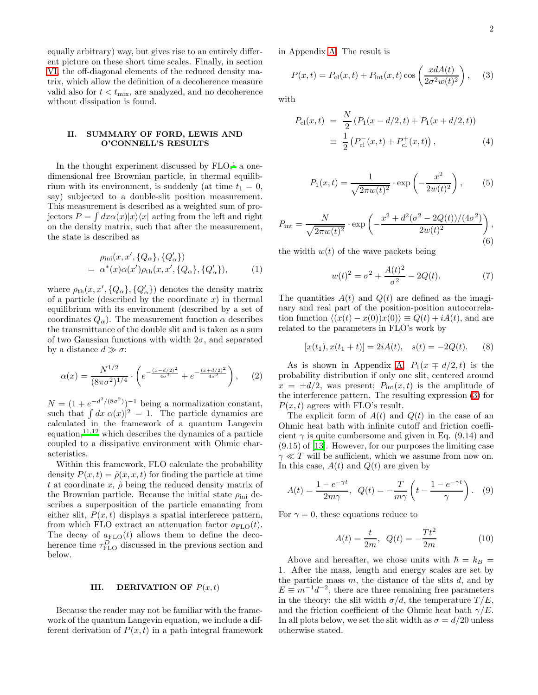equally arbitrary) way, but gives rise to an entirely different picture on these short time scales. Finally, in section [VI,](#page-5-0) the off-diagonal elements of the reduced density matrix, which allow the definition of a decoherence measure valid also for  $t < t_{\text{mix}}$ , are analyzed, and no decoherence without dissipation is found.

### II. SUMMARY OF FORD, LEWIS AND O'CONNELL'S RESULTS

In the thought experiment discussed by  $FLO<sup>1</sup>$  $FLO<sup>1</sup>$  $FLO<sup>1</sup>$  a onedimensional free Brownian particle, in thermal equilibrium with its environment, is suddenly (at time  $t_1 = 0$ , say) subjected to a double-slit position measurement. This measurement is described as a weighted sum of projectors  $P = \int dx \alpha(x)|x\rangle\langle x|$  acting from the left and right on the density matrix, such that after the measurement, the state is described as

$$
\rho_{\text{ini}}(x, x', \{Q_{\alpha}\}, \{Q'_{\alpha}\})
$$
  
=  $\alpha^*(x)\alpha(x')\rho_{\text{th}}(x, x', \{Q_{\alpha}\}, \{Q'_{\alpha}\}),$  (1)

where  $\rho_{\text{th}}(x, x', \{Q_{\alpha}\}, \{Q'_{\alpha}\})$  denotes the density matrix of a particle (described by the coordinate  $x$ ) in thermal equilibrium with its environment (described by a set of coordinates  $Q_{\alpha}$ ). The measurement function  $\alpha$  describes the transmittance of the double slit and is taken as a sum of two Gaussian functions with width  $2\sigma$ , and separated by a distance  $d \gg \sigma$ :

<span id="page-2-6"></span>
$$
\alpha(x) = \frac{N^{1/2}}{(8\pi\sigma^2)^{1/4}} \cdot \left( e^{-\frac{(x-d/2)^2}{4\sigma^2}} + e^{-\frac{(x+d/2)^2}{4\sigma^2}} \right), \quad (2)
$$

 $N = (1 + e^{-d^2/(8\sigma^2)})^{-1}$  being a normalization constant, such that  $\int dx |\alpha(x)|^2 = 1$ . The particle dynamics are calculated in the framework of a quantum Langevin equation,  $1^{1,12}$  $1^{1,12}$  $1^{1,12}$  which describes the dynamics of a particle coupled to a dissipative environment with Ohmic characteristics.

Within this framework, FLO calculate the probability density  $P(x,t) = \tilde{\rho}(x, x, t)$  for finding the particle at time t at coordinate x,  $\tilde{\rho}$  being the reduced density matrix of the Brownian particle. Because the initial state  $\rho_{\text{ini}}$  describes a superposition of the particle emanating from either slit,  $P(x, t)$  displays a spatial interferece pattern, from which FLO extract an attenuation factor  $a_{\text{FLO}}(t)$ . The decay of  $a_{\text{FLO}}(t)$  allows them to define the decoherence time  $\tau_{\text{FLO}}^D$  discussed in the previous section and below.

#### III. DERIVATION OF  $P(x,t)$

<span id="page-2-0"></span>Because the reader may not be familiar with the framework of the quantum Langevin equation, we include a different derivation of  $P(x, t)$  in a path integral framework in Appendix [A.](#page-6-0) The result is

<span id="page-2-1"></span>
$$
P(x,t) = P_{\text{cl}}(x,t) + P_{\text{int}}(x,t)\cos\left(\frac{xdA(t)}{2\sigma^2w(t)^2}\right),\quad (3)
$$

<span id="page-2-4"></span><span id="page-2-2"></span>with

$$
P_{\rm cl}(x,t) = \frac{N}{2} \left( P_1(x - d/2, t) + P_1(x + d/2, t) \right)
$$
  

$$
\equiv \frac{1}{2} \left( P_{\rm cl}^-(x, t) + P_{\rm cl}^+(x, t) \right), \tag{4}
$$

$$
P_1(x,t) = \frac{1}{\sqrt{2\pi w(t)^2}} \cdot \exp\left(-\frac{x^2}{2w(t)^2}\right),\qquad(5)
$$

<span id="page-2-3"></span>
$$
P_{\rm int} = \frac{N}{\sqrt{2\pi w(t)^2}} \cdot \exp\left(-\frac{x^2 + d^2(\sigma^2 - 2Q(t))/(4\sigma^2)}{2w(t)^2}\right),\tag{6}
$$

the width  $w(t)$  of the wave packets being

<span id="page-2-7"></span><span id="page-2-5"></span>
$$
w(t)^{2} = \sigma^{2} + \frac{A(t)^{2}}{\sigma^{2}} - 2Q(t).
$$
 (7)

The quantities  $A(t)$  and  $Q(t)$  are defined as the imaginary and real part of the position-position autocorrelation function  $\langle (x(t) - x(0))x(0) \rangle \equiv Q(t) + iA(t)$ , and are related to the parameters in FLO's work by

$$
[x(t1), x(t1 + t)] = 2iA(t), \quad s(t) = -2Q(t).
$$
 (8)

As is shown in Appendix [A,](#page-6-0)  $P_1(x \mp d/2, t)$  is the probability distribution if only one slit, centered around  $x = \pm d/2$ , was present;  $P_{\text{int}}(x, t)$  is the amplitude of the interference pattern. The resulting expression [\(3\)](#page-2-1) for  $P(x, t)$  agrees with FLO's result.

The explicit form of  $A(t)$  and  $Q(t)$  in the case of an Ohmic heat bath with infinite cutoff and friction coefficient  $\gamma$  is quite cumbersome and given in Eq. (9.14) and (9.15) of [\[13](#page-8-13)]. However, for our purposes the limiting case  $\gamma \ll T$  will be sufficient, which we assume from now on. In this case,  $A(t)$  and  $Q(t)$  are given by

$$
A(t) = \frac{1 - e^{-\gamma t}}{2m\gamma}, \quad Q(t) = -\frac{T}{m\gamma} \left( t - \frac{1 - e^{-\gamma t}}{\gamma} \right). \tag{9}
$$

For  $\gamma = 0$ , these equations reduce to

$$
A(t) = \frac{t}{2m}, \ \ Q(t) = -\frac{Tt^2}{2m} \tag{10}
$$

Above and hereafter, we chose units with  $\hbar = k_B$  = 1. After the mass, length and energy scales are set by the particle mass  $m$ , the distance of the slits  $d$ , and by  $E \equiv m^{-1}d^{-2}$ , there are three remaining free parameters in the theory: the slit width  $\sigma/d$ , the temperature  $T/E$ , and the friction coefficient of the Ohmic heat bath  $\gamma/E$ . In all plots below, we set the slit width as  $\sigma = d/20$  unless otherwise stated.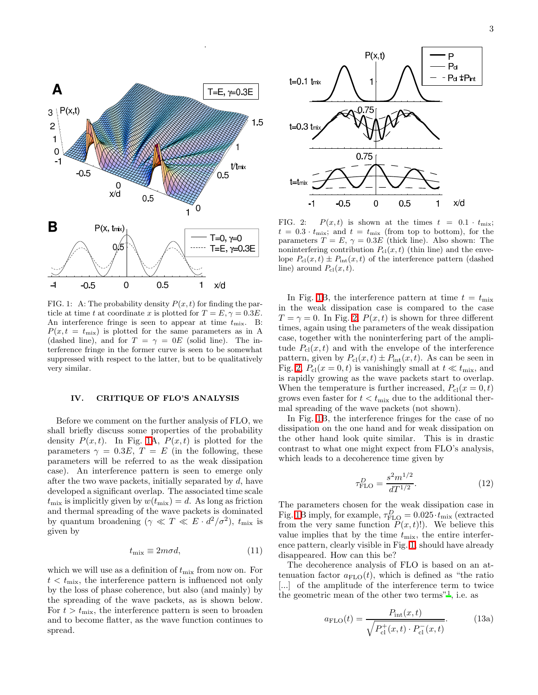

<span id="page-3-2"></span>FIG. 1: A: The probability density  $P(x, t)$  for finding the particle at time t at coordinate x is plotted for  $T = E$ ,  $\gamma = 0.3E$ . An interference fringe is seen to appear at time  $t_{\text{mix}}$ . B:  $P(x, t = t_{\text{mix}})$  is plotted for the same parameters as in A (dashed line), and for  $T = \gamma = 0E$  (solid line). The interference fringe in the former curve is seen to be somewhat suppressed with respect to the latter, but to be qualitatively very similar.

#### IV. CRITIQUE OF FLO'S ANALYSIS

<span id="page-3-1"></span>Before we comment on the further analysis of FLO, we shall briefly discuss some properties of the probability density  $P(x, t)$ . In Fig. [1A](#page-3-2),  $P(x, t)$  is plotted for the parameters  $\gamma = 0.3E$ ,  $T = E$  (in the following, these parameters will be referred to as the weak dissipation case). An interference pattern is seen to emerge only after the two wave packets, initially separated by d, have developed a significant overlap. The associated time scale  $t_{\text{mix}}$  is implicitly given by  $w(t_{\text{mix}}) = d$ . As long as friction and thermal spreading of the wave packets is dominated by quantum broadening  $(\gamma \ll T \ll E \cdot d^2/\sigma^2)$ ,  $t_{\text{mix}}$  is given by

$$
t_{\text{mix}} \equiv 2m\sigma d,\tag{11}
$$

<span id="page-3-0"></span>which we will use as a definition of  $t_{\text{mix}}$  from now on. For  $t < t_{\text{mix}}$ , the interference pattern is influenced not only by the loss of phase coherence, but also (and mainly) by the spreading of the wave packets, as is shown below. For  $t > t_{\text{mix}}$ , the interference pattern is seen to broaden and to become flatter, as the wave function continues to spread.



<span id="page-3-3"></span>FIG. 2:  $P(x, t)$  is shown at the times  $t = 0.1 \cdot t_{\text{mix}};$  $t = 0.3 \cdot t_{\text{mix}}$ ; and  $t = t_{\text{mix}}$  (from top to bottom), for the parameters  $T = E$ ,  $\gamma = 0.3E$  (thick line). Also shown: The noninterfering contribution  $P_{\text{cl}}(x, t)$  (thin line) and the envelope  $P_{\text{cl}}(x, t) \pm P_{\text{int}}(x, t)$  of the interference pattern (dashed line) around  $P_{\text{cl}}(x, t)$ .

In Fig. [1B](#page-3-2), the interference pattern at time  $t = t_{\text{mix}}$ in the weak dissipation case is compared to the case  $T = \gamma = 0$ . In Fig. [2,](#page-3-3)  $P(x, t)$  is shown for three different times, again using the parameters of the weak dissipation case, together with the noninterfering part of the amplitude  $P_{\rm cl}(x,t)$  and with the envelope of the interference pattern, given by  $P_{\text{cl}}(x,t) \pm P_{\text{int}}(x,t)$ . As can be seen in Fig. [2,](#page-3-3)  $P_{\text{cl}}(x=0,t)$  is vanishingly small at  $t \ll t_{\text{mix}}$ , and is rapidly growing as the wave packets start to overlap. When the temperature is further increased,  $P_{\rm cl}(x=0,t)$ grows even faster for  $t < t_{\text{mix}}$  due to the additional thermal spreading of the wave packets (not shown).

In Fig. [1B](#page-3-2), the interference fringes for the case of no dissipation on the one hand and for weak dissipation on the other hand look quite similar. This is in drastic contrast to what one might expect from FLO's analysis, which leads to a decoherence time given by

$$
\tau_{\rm FLO}^D = \frac{s^2 m^{1/2}}{dT^{1/2}}.\tag{12}
$$

The parameters chosen for the weak dissipation case in Fig. [1B](#page-3-2) imply, for example,  $\tau_{\text{FLO}}^D = 0.025 \cdot t_{\text{mix}}$  (extracted from the very same function  $P(x, t)!$ . We believe this value implies that by the time  $t_{\text{mix}}$ , the entire interference pattern, clearly visible in Fig. [1,](#page-3-2) should have already disappeared. How can this be?

The decoherence analysis of FLO is based on an attenuation factor  $a_{\text{FLO}}(t)$ , which is defined as "the ratio [...] of the amplitude of the interference term to twice the geometric mean of the other two terms"[1](#page-8-1) , i.e. as

$$
a_{\rm FLO}(t) = \frac{P_{\rm int}(x, t)}{\sqrt{P_{\rm cl}^+(x, t) \cdot P_{\rm cl}^-(x, t)}}.
$$
 (13a)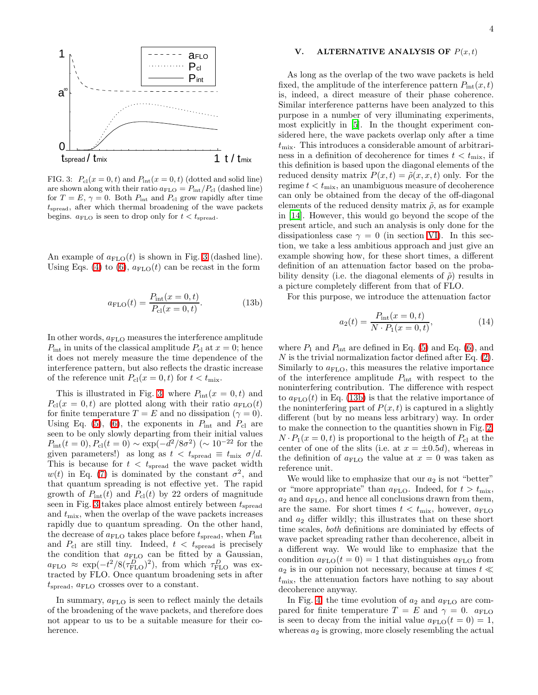

<span id="page-4-1"></span>FIG. 3:  $P_{\text{cl}}(x=0,t)$  and  $P_{\text{int}}(x=0,t)$  (dotted and solid line) are shown along with their ratio  $a_{\text{FLO}} = P_{\text{int}}/P_{\text{cl}}$  (dashed line) for  $T = E$ ,  $\gamma = 0$ . Both  $P_{\text{int}}$  and  $P_{\text{cl}}$  grow rapidly after time  $t_{\text{spread}}$ , after which thermal broadening of the wave packets begins.  $a_{\text{FLO}}$  is seen to drop only for  $t < t_{\text{spread}}$ .

An example of  $a_{\text{FLO}}(t)$  is shown in Fig. [3](#page-4-1) (dashed line). Using Eqs. [\(4\)](#page-2-2) to [\(6\)](#page-2-3),  $a_{\text{FLO}}(t)$  can be recast in the form

$$
a_{\rm FLO}(t) = \frac{P_{\rm int}(x=0, t)}{P_{\rm cl}(x=0, t)}.
$$
 (13b)

In other words,  $a_{\text{FLO}}$  measures the interference amplitude  $P_{\text{int}}$  in units of the classical amplitude  $P_{\text{cl}}$  at  $x = 0$ ; hence it does not merely measure the time dependence of the interference pattern, but also reflects the drastic increase of the reference unit  $P_{\text{cl}}(x=0,t)$  for  $t < t_{\text{mix}}$ .

This is illustrated in Fig. [3,](#page-4-1) where  $P_{\text{int}}(x=0,t)$  and  $P_{\text{cl}}(x=0,t)$  are plotted along with their ratio  $a_{\text{FLO}}(t)$ for finite temperature  $T = E$  and no dissipation  $(\gamma = 0)$ . Using Eq. [\(5\)](#page-2-4), [\(6\)](#page-2-3), the exponents in  $P_{\text{int}}$  and  $P_{\text{cl}}$  are seen to be only slowly departing from their initial values  $P_{\text{int}}(t=0), P_{\text{cl}}(t=0) \sim \exp(-d^2/8\sigma^2) \sim 10^{-22}$  for the given parameters!) as long as  $t < t_{\text{spread}} \equiv t_{\text{mix}} \sigma/d$ . This is because for  $t < t_{\text{spread}}$  the wave packet width  $w(t)$  in Eq. [\(7\)](#page-2-5) is dominated by the constant  $\sigma^2$ , and that quantum spreading is not effective yet. The rapid growth of  $P_{\text{int}}(t)$  and  $P_{\text{cl}}(t)$  by 22 orders of magnitude seen in Fig. [3](#page-4-1) takes place almost entirely between  $t_{\rm spread}$ and  $t_{\text{mix}}$ , when the overlap of the wave packets increases rapidly due to quantum spreading. On the other hand, the decrease of  $a_{\text{FLO}}$  takes place before  $t_{\text{spread}}$ , when  $P_{\text{int}}$ and  $P_{\rm cl}$  are still tiny. Indeed,  $t < t_{\rm spread}$  is precisely the condition that  $a_{\text{FLO}}$  can be fitted by a Gaussian,  $a_{\text{FLO}} \approx \exp(-t^2/8(\tau_{\text{FLO}}^D)^2)$ , from which  $\tau_{\text{FLO}}^D$  was extracted by FLO. Once quantum broadening sets in after  $t_{\text{spread}}$ ,  $a_{\text{FLO}}$  crosses over to a constant.

In summary,  $a_{\text{FLO}}$  is seen to reflect mainly the details of the broadening of the wave packets, and therefore does not appear to us to be a suitable measure for their coherence.

#### V. ALTERNATIVE ANALYSIS OF  $P(x,t)$

<span id="page-4-0"></span>As long as the overlap of the two wave packets is held fixed, the amplitude of the interference pattern  $P_{\text{int}}(x, t)$ is, indeed, a direct measure of their phase coherence. Similar interference patterns have been analyzed to this purpose in a number of very illuminating experiments, most explicitly in [\[5](#page-8-5)]. In the thought experiment considered here, the wave packets overlap only after a time  $t_{\text{mix}}$ . This introduces a considerable amount of arbitrariness in a definition of decoherence for times  $t < t_{\text{mix}}$ , if this definition is based upon the diagonal elements of the reduced density matrix  $P(x,t) = \tilde{\rho}(x, x, t)$  only. For the regime  $t < t_{\text{mix}}$ , an unambiguous measure of decoherence can only be obtained from the decay of the off-diagonal elements of the reduced density matrix  $\tilde{\rho}$ , as for example in [\[14\]](#page-8-14). However, this would go beyond the scope of the present article, and such an analysis is only done for the dissipationless case  $\gamma = 0$  (in section [VI\)](#page-5-0). In this section, we take a less ambitious approach and just give an example showing how, for these short times, a different definition of an attenuation factor based on the probability density (i.e. the diagonal elements of  $\tilde{\rho}$ ) results in a picture completely different from that of FLO.

<span id="page-4-2"></span>For this purpose, we introduce the attenuation factor

<span id="page-4-3"></span>
$$
a_2(t) = \frac{P_{\text{int}}(x=0, t)}{N \cdot P_1(x=0, t)},
$$
\n(14)

where  $P_1$  and  $P_{\text{int}}$  are defined in Eq. [\(5\)](#page-2-4) and Eq. [\(6\)](#page-2-3), and  $N$  is the trivial normalization factor defined after Eq.  $(2)$ . Similarly to  $a_{\text{FLO}}$ , this measures the relative importance of the interference amplitude  $P_{\text{int}}$  with respect to the noninterfering contribution. The difference with respect to  $a_{\text{FLO}}(t)$  in Eq. [\(13b\)](#page-4-2) is that the relative importance of the noninterfering part of  $P(x, t)$  is captured in a slightly different (but by no means less arbitrary) way. In order to make the connection to the quantities shown in Fig. [2,](#page-3-3)  $N \cdot P_1(x=0,t)$  is proportional to the heigth of  $P_{\text{cl}}$  at the center of one of the slits (i.e. at  $x = \pm 0.5d$ ), whereas in the definition of  $a_{\text{FLO}}$  the value at  $x = 0$  was taken as reference unit.

We would like to emphasize that our  $a_2$  is not "better" or "more appropriate" than  $a_{\text{FLO}}$ . Indeed, for  $t > t_{\text{mix}}$ ,  $a_2$  and  $a_{\text{FLO}}$ , and hence all conclusions drawn from them, are the same. For short times  $t < t_{\text{mix}}$ , however,  $a_{\text{FLO}}$ and  $a_2$  differ wildly; this illustrates that on these short time scales, both definitions are dominiated by effects of wave packet spreading rather than decoherence, albeit in a different way. We would like to emphasize that the condition  $a_{\text{FLO}}(t=0) = 1$  that distinguishes  $a_{\text{FLO}}$  from  $a_2$  is in our opinion not necessary, because at times  $t \ll$  $t_{\text{mix}}$ , the attenuation factors have nothing to say about decoherence anyway.

In Fig. [4,](#page-5-1) the time evolution of  $a_2$  and  $a_{\text{FLO}}$  are compared for finite temperature  $T = E$  and  $\gamma = 0$ .  $a_{\text{FLO}}$ is seen to decay from the initial value  $a_{\text{FLO}}(t=0) = 1$ , whereas  $a_2$  is growing, more closely resembling the actual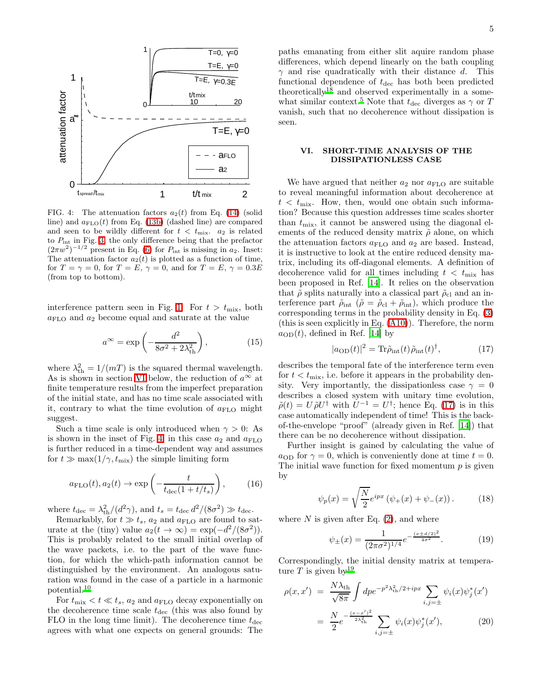

<span id="page-5-1"></span>FIG. 4: The attenuation factors  $a_2(t)$  from Eq. [\(14\)](#page-4-3) (solid line) and  $a_{\text{FLO}}(t)$  from Eq. [\(13b\)](#page-4-2) (dashed line) are compared and seen to be wildly different for  $t < t_{\text{mix}}$ .  $a_2$  is related to  $P_{\text{int}}$  in Fig. [3,](#page-4-1) the only difference being that the prefactor  $(2\pi w^2)^{-1/2}$  present in Eq. [\(6\)](#page-2-3) for  $P_{\text{int}}$  is missing in  $a_2$ . Inset: The attenuation factor  $a_2(t)$  is plotted as a function of time, for  $T = \gamma = 0$ , for  $T = E$ ,  $\gamma = 0$ , and for  $T = E$ ,  $\gamma = 0.3E$ (from top to bottom).

interference pattern seen in Fig. [1.](#page-3-2) For  $t > t_{\text{mix}}$ , both  $a_{\text{FLO}}$  and  $a_2$  become equal and saturate at the value

$$
a^{\infty} = \exp\left(-\frac{d^2}{8\sigma^2 + 2\lambda_{\text{th}}^2}\right),\tag{15}
$$

where  $\lambda_{\text{th}}^2 = 1/(mT)$  is the squared thermal wavelength. As is shown in section [VI](#page-5-0) below, the reduction of  $a^{\infty}$  at finite temperature results from the imperfect preparation of the initial state, and has no time scale associated with it, contrary to what the time evolution of  $a_{\text{FLO}}$  might suggest.

Such a time scale is only introduced when  $\gamma > 0$ : As is shown in the inset of Fig. [4,](#page-5-1) in this case  $a_2$  and  $a_{\text{FLO}}$ is further reduced in a time-dependent way and assumes for  $t \gg \max(1/\gamma, t_{\text{mix}})$  the simple limiting form

$$
a_{\rm FLO}(t), a_2(t) \to \exp\left(-\frac{t}{t_{\rm dec}(1+t/t_s)}\right),\tag{16}
$$

where  $t_{\text{dec}} = \lambda_{\text{th}}^2/(d^2\gamma)$ , and  $t_s = t_{\text{dec}} d^2/(8\sigma^2) \gg t_{\text{dec}}$ .

Remarkably, for  $t \gg t_s$ ,  $a_2$  and  $a_{\text{FLO}}$  are found to saturate at the (tiny) value  $a_2(t \to \infty) = \exp(-\frac{d^2}{8\sigma^2})$ . This is probably related to the small initial overlap of the wave packets, i.e. to the part of the wave function, for which the which-path information cannot be distinguished by the environment. An analogous saturation was found in the case of a particle in a harmonic potential.[10](#page-8-10)

For  $t_{\text{mix}} < t \ll t_s$ ,  $a_2$  and  $a_{\text{FLO}}$  decay exponentially on the decoherence time scale  $t_{\text{dec}}$  (this was also found by FLO in the long time limit). The decoherence time  $t_{\text{dec}}$ agrees with what one expects on general grounds: The

paths emanating from either slit aquire random phase differences, which depend linearly on the bath coupling  $\gamma$  and rise quadratically with their distance d. This functional dependence of  $t_{\text{dec}}$  has both been predicted theoretically<sup>[18](#page-8-15)</sup> and observed experimentally in a some-what similar context.<sup>[5](#page-8-5)</sup> Note that  $t_{\text{dec}}$  diverges as  $\gamma$  or T vanish, such that no decoherence without dissipation is seen.

## VI. SHORT-TIME ANALYSIS OF THE DISSIPATIONLESS CASE

<span id="page-5-0"></span>We have argued that neither  $a_2$  nor  $a_{\text{FLO}}$  are suitable to reveal meaningful information about decoherence at  $t < t_{\text{mix}}$ . How, then, would one obtain such information? Because this question addresses time scales shorter than  $t_{\text{mix}}$ , it cannot be answered using the diagonal elements of the reduced density matrix  $\tilde{\rho}$  alone, on which the attenuation factors  $a_{\text{FLO}}$  and  $a_2$  are based. Instead, it is instructive to look at the entire reduced density matrix, including its off-diagonal elements. A definition of decoherence valid for all times including  $t < t_{\text{mix}}$  has been proposed in Ref. [\[14\]](#page-8-14). It relies on the observation that  $\tilde{\rho}$  splits naturally into a classical part  $\tilde{\rho}_{\rm cl}$  and an interference part  $\tilde{\rho}_{int}$  ( $\tilde{\rho} = \tilde{\rho}_{cl} + \tilde{\rho}_{int}$ ), which produce the corresponding terms in the probability density in Eq. [\(3\)](#page-2-1) (this is seen explicitly in Eq. [\(A10\)](#page-8-16)). Therefore, the norm  $a_{OD}(t)$ , defined in Ref. [\[14\]](#page-8-14) by

<span id="page-5-2"></span>
$$
|a_{\text{OD}}(t)|^2 = \text{Tr}\tilde{\rho}_{\text{int}}(t)\tilde{\rho}_{\text{int}}(t)^{\dagger},\tag{17}
$$

describes the temporal fate of the interference term even for  $t < t_{\text{mix}}$ , i.e. before it appears in the probability density. Very importantly, the dissipationless case  $\gamma = 0$ describes a closed system with unitary time evolution,  $\tilde{\rho}(t) = U \tilde{\rho} U^{\dagger}$  with  $U^{-1} = U^{\dagger}$ ; hence Eq. [\(17\)](#page-5-2) is in this case automatically independent of time! This is the backof-the-envelope "proof" (already given in Ref. [\[14\]](#page-8-14)) that there can be no decoherence without dissipation.

Further insight is gained by calculating the value of  $a_{OD}$  for  $\gamma = 0$ , which is conveniently done at time  $t = 0$ . The initial wave function for fixed momentum  $p$  is given by

$$
\psi_p(x) = \sqrt{\frac{N}{2}} e^{ipx} (\psi_+(x) + \psi_-(x)).
$$
 (18)

where  $N$  is given after Eq.  $(2)$ , and where

$$
\psi_{\pm}(x) = \frac{1}{(2\pi\sigma^2)^{1/4}} e^{-\frac{(x \pm d/2)^2}{4\sigma^2}}.
$$
 (19)

Correspondingly, the initial density matrix at temperature T is given by  $19$ 

<span id="page-5-3"></span>
$$
\rho(x, x') = \frac{N\lambda_{\text{th}}}{\sqrt{8\pi}} \int d\rho e^{-p^2 \lambda_{\text{th}}^2 / 2 + ipx} \sum_{i, j = \pm} \psi_i(x) \psi_j^*(x')
$$

$$
= \frac{N}{2} e^{-\frac{(x - x')^2}{2\lambda_{\text{th}}^2}} \sum_{i, j = \pm} \psi_i(x) \psi_j^*(x'), \tag{20}
$$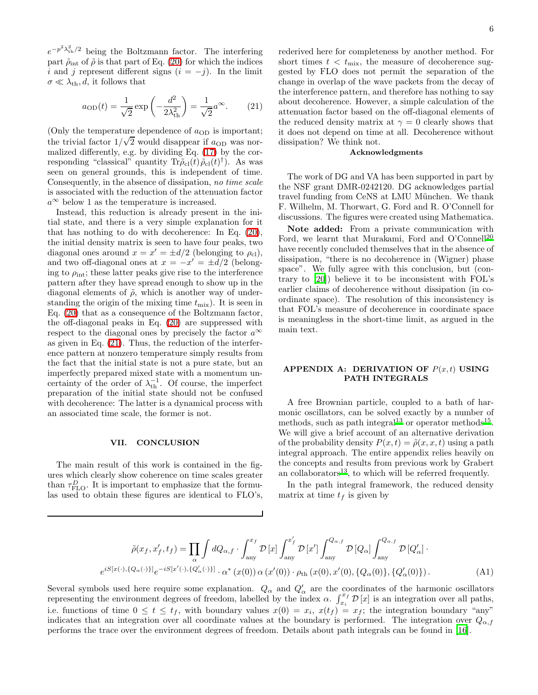$e^{-p^2\lambda_{\text{th}}^2/2}$  being the Boltzmann factor. The interfering part  $\tilde{\rho}_{int}$  of  $\tilde{\rho}$  is that part of Eq. [\(20\)](#page-5-3) for which the indices i and j represent different signs  $(i = -j)$ . In the limit  $\sigma \ll \lambda_{\rm th}, d$ , it follows that

<span id="page-6-1"></span>
$$
a_{\text{OD}}(t) = \frac{1}{\sqrt{2}} \exp\left(-\frac{d^2}{2\lambda_{\text{th}}^2}\right) = \frac{1}{\sqrt{2}} a^{\infty}.
$$
 (21)

(Only the temperature dependence of  $a_{OD}$  is important; the trivial factor  $1/\sqrt{2}$  would disappear if  $a_{OD}$  was normalized differently, e.g. by dividing Eq. [\(17\)](#page-5-2) by the corresponding "classical" quantity  $\text{Tr}\tilde{\rho}_{\text{cl}}(t)\tilde{\rho}_{\text{cl}}(t)^{\dagger}$ ). As was seen on general grounds, this is independent of time. Consequently, in the absence of dissipation, no time scale is associated with the reduction of the attenuation factor  $a^{\infty}$  below 1 as the temperature is increased.

Instead, this reduction is already present in the initial state, and there is a very simple explanation for it that has nothing to do with decoherence: In Eq. [\(20\)](#page-5-3), the initial density matrix is seen to have four peaks, two diagonal ones around  $x = x' = \pm d/2$  (belonging to  $\rho_{\text{cl}}$ ), and two off-diagonal ones at  $x = -x' = \pm d/2$  (belonging to  $\rho_{\text{int}}$ ; these latter peaks give rise to the interference pattern after they have spread enough to show up in the diagonal elements of  $\tilde{\rho}$ , which is another way of understanding the origin of the mixing time  $t_{\text{mix}}$ ). It is seen in Eq. [\(20\)](#page-5-3) that as a consequence of the Boltzmann factor, the off-diagonal peaks in Eq. [\(20\)](#page-5-3) are suppressed with respect to the diagonal ones by precisely the factor  $a^{\infty}$ as given in Eq. [\(21\)](#page-6-1). Thus, the reduction of the interference pattern at nonzero temperature simply results from the fact that the initial state is not a pure state, but an imperfectly prepared mixed state with a momentum uncertainty of the order of  $\lambda_{\text{th}}^{-1}$ . Of course, the imperfect preparation of the initial state should not be confused with decoherence: The latter is a dynamical process with an associated time scale, the former is not.

#### VII. CONCLUSION

The main result of this work is contained in the figures which clearly show coherence on time scales greater than  $\tau_{\text{FLO}}^D$ . It is important to emphasize that the formulas used to obtain these figures are identical to FLO's, rederived here for completeness by another method. For short times  $t < t_{\text{mix}}$ , the measure of decoherence suggested by FLO does not permit the separation of the change in overlap of the wave packets from the decay of the interference pattern, and therefore has nothing to say about decoherence. However, a simple calculation of the attenuation factor based on the off-diagonal elements of the reduced density matrix at  $\gamma = 0$  clearly shows that it does not depend on time at all. Decoherence without dissipation? We think not.

#### Acknowledgments

The work of DG and VA has been supported in part by the NSF grant DMR-0242120. DG acknowledges partial travel funding from CeNS at LMU München. We thank F. Wilhelm, M. Thorwart, G. Ford and R. O'Connell for discussions. The figures were created using Mathematica.

Note added: From a private communication with Ford, we learnt that Murakami, Ford and O'Connell<sup>[20](#page-8-18)</sup> have recently concluded themselves that in the absence of dissipation, "there is no decoherence in (Wigner) phase space". We fully agree with this conclusion, but (contrary to [\[20\]](#page-8-18)) believe it to be inconsistent with FOL's earlier claims of decoherence without dissipation (in coordinate space). The resolution of this inconsistency is that FOL's measure of decoherence in coordinate space is meaningless in the short-time limit, as argued in the main text.

## <span id="page-6-0"></span>APPENDIX A: DERIVATION OF  $P(x,t)$  USING PATH INTEGRALS

A free Brownian particle, coupled to a bath of harmonic oscillators, can be solved exactly by a number of methods, such as path integral<sup>[13](#page-8-13)</sup> or operator methods<sup>[15](#page-8-19)</sup>. We will give a brief account of an alternative derivation of the probability density  $P(x,t) = \tilde{\rho}(x, x, t)$  using a path integral approach. The entire appendix relies heavily on the concepts and results from previous work by Grabert an collaborators $^{13}$  $^{13}$  $^{13}$ , to which will be referred frequently.

In the path integral framework, the reduced density matrix at time  $t_f$  is given by

<span id="page-6-2"></span>
$$
\tilde{\rho}(x_f, x'_f, t_f) = \prod_{\alpha} \int dQ_{\alpha, f} \cdot \int_{\text{any}}^{x_f} \mathcal{D}[x] \int_{\text{any}}^{x'_f} \mathcal{D}[x'] \int_{\text{any}}^{Q_{\alpha, f}} \mathcal{D}[Q_{\alpha}] \int_{\text{any}}^{Q_{\alpha, f}} \mathcal{D}[Q'_{\alpha}] \cdot
$$
  

$$
e^{iS[x(\cdot), \{Q_{\alpha}(\cdot)\}] } e^{-iS[x'(\cdot), \{Q'_{\alpha}(\cdot)\}] } \cdot \alpha^* (x(0)) \alpha (x'(0)) \cdot \rho_{\text{th}}(x(0), x'(0), \{Q_{\alpha}(0)\}, \{Q'_{\alpha}(0)\}).
$$
\n(A1)

Several symbols used here require some explanation.  $Q_{\alpha}$  and  $Q'_{\alpha}$  are the coordinates of the harmonic oscillators representing the environment degrees of freedom, labelled by the index  $\alpha$ .  $\int_{x_i}^{x_f} \mathcal{D}[x]$  is an integration over all paths, i.e. functions of time  $0 \le t \le t_f$ , with boundary values  $x(0) = x_i$ ,  $x(t_f) = x_f$ ; the integration boundary "any" indicates that an integration over all coordinate values at the boundary is performed. The integration over  $Q_{\alpha,f}$ performs the trace over the environment degrees of freedom. Details about path integrals can be found in [\[16](#page-8-20)].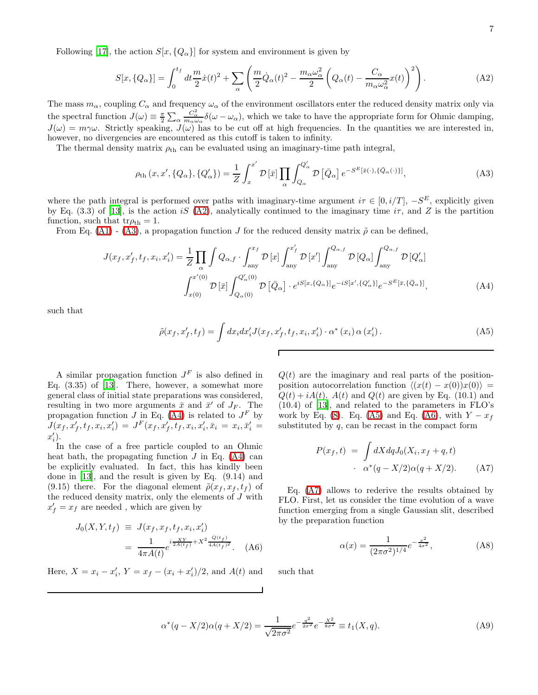Following [\[17](#page-8-21)], the action  $S[x, {Q_\alpha}]$  for system and environment is given by

<span id="page-7-0"></span>
$$
S[x,\{Q_{\alpha}\}] = \int_0^{t_f} dt \frac{m}{2} \dot{x}(t)^2 + \sum_{\alpha} \left( \frac{m}{2} \dot{Q}_{\alpha}(t)^2 - \frac{m_{\alpha} \omega_{\alpha}^2}{2} \left( Q_{\alpha}(t) - \frac{C_{\alpha}}{m_{\alpha} \omega_{\alpha}^2} x(t) \right)^2 \right). \tag{A2}
$$

The mass  $m_\alpha$ , coupling  $C_\alpha$  and frequency  $\omega_\alpha$  of the environment oscillators enter the reduced density matrix only via the spectral function  $J(\omega) \equiv \frac{\pi}{2} \sum_{\alpha}$  $\frac{C_{\alpha}^{2}}{m_{\alpha}\omega_{\alpha}}\delta(\omega-\omega_{\alpha})$ , which we take to have the appropriate form for Ohmic damping,  $J(\omega) = m\gamma\omega$ . Strictly speaking,  $J(\omega)$  has to be cut off at high frequencies. In the quantities we are interested in, however, no divergencies are encountered as this cutoff is taken to infinity.

The thermal density matrix  $\rho_{\text{th}}$  can be evaluated using an imaginary-time path integral,

<span id="page-7-1"></span>
$$
\rho_{\text{th}}(x, x', \{Q_{\alpha}\}, \{Q'_{\alpha}\}) = \frac{1}{Z} \int_{x}^{x'} \mathcal{D}\left[\bar{x}\right] \prod_{\alpha} \int_{Q_{\alpha}}^{Q'_{\alpha}} \mathcal{D}\left[\bar{Q}_{\alpha}\right] e^{-S^{E}\left[\bar{x}(\cdot), \{\bar{Q}_{\alpha}(\cdot)\}\right]},\tag{A3}
$$

where the path integral is performed over paths with imaginary-time argument  $i\tau \in [0, i/T]$ ,  $-S<sup>E</sup>$ , explicitly given by Eq. (3.3) of [\[13\]](#page-8-13), is the action iS [\(A2\)](#page-7-0), analytically continued to the imaginary time  $i\tau$ , and Z is the partition function, such that  $tr\rho_{th} = 1$ .

<span id="page-7-2"></span>From Eq. [\(A1\)](#page-6-2) - [\(A3\)](#page-7-1), a propagation function J for the reduced density matrix  $\tilde{\rho}$  can be defined,

$$
J(x_f, x'_f, t_f, x_i, x'_i) = \frac{1}{Z} \prod_{\alpha} \int Q_{\alpha, f} \cdot \int_{\text{any}}^{x_f} \mathcal{D}[x] \int_{\text{any}}^{x'_f} \mathcal{D}[x'] \int_{\text{any}}^{Q_{\alpha, f}} \mathcal{D}[Q_{\alpha}] \int_{\text{any}}^{Q_{\alpha, f}} \mathcal{D}[Q'_{\alpha}]
$$

$$
\int_{x(0)}^{x'(0)} \mathcal{D}[\bar{x}] \int_{Q_{\alpha}(0)}^{Q'_{\alpha}(0)} \mathcal{D}[\bar{Q}_{\alpha}] \cdot e^{iS[x,\{Q_{\alpha}\}]} e^{-iS[x',\{Q'_{\alpha}\}]} e^{-S^E[\bar{x},\{\bar{Q}_{\alpha}\}]}, \tag{A4}
$$

Г

<span id="page-7-3"></span>such that

$$
\tilde{\rho}(x_f, x'_f, t_f) = \int dx_i dx'_i J(x_f, x'_f, t_f, x_i, x'_i) \cdot \alpha^*(x_i) \alpha(x'_i).
$$
\n(A5)

A similar propagation function  $J<sup>F</sup>$  is also defined in Eq.  $(3.35)$  of  $[13]$ . There, however, a somewhat more general class of initial state preparations was considered, resulting in two more arguments  $\bar{x}$  and  $\bar{x}'$  of  $J_F$ . The propagation function J in Eq. [\(A4\)](#page-7-2) is related to  $J^F$  by  $J(x_f,x'_f,t_f,x_i,x'_i) = J^F(x_f,x'_f,t_f,x_i,x'_i,\bar{x}_i=x_i,\bar{x}'_i =$  $x'_i$ .

In the case of a free particle coupled to an Ohmic heat bath, the propagating function  $J$  in Eq. [\(A4\)](#page-7-2) can be explicitly evaluated. In fact, this has kindly been done in [\[13\]](#page-8-13), and the result is given by Eq. (9.14) and (9.15) there. For the diagonal element  $\tilde{\rho}(x_f, x_f, t_f)$  of the reduced density matrix, only the elements of  $J$  with  $x'_f = x_f$  are needed, which are given by

$$
J_0(X, Y, t_f) \equiv J(x_f, x_f, t_f, x_i, x_i')
$$
  
= 
$$
\frac{1}{4\pi A(t)} e^{i\frac{XY}{2A(t_f)} + X^2 \frac{Q(t_f)}{4A(t_f)^2}}.
$$
 (A6)

<span id="page-7-6"></span><span id="page-7-4"></span>Here,  $X = x_i - x'_i$ ,  $Y = x_f - (x_i + x'_i)/2$ , and  $A(t)$  and

 $Q(t)$  are the imaginary and real parts of the positionposition autocorrelation function  $\langle (x(t) - x(0))x(0) \rangle =$  $Q(t) + iA(t)$ .  $A(t)$  and  $Q(t)$  are given by Eq. (10.1) and (10.4) of [\[13](#page-8-13)], and related to the parameters in FLO's work by Eq. [\(8\)](#page-2-7). Eq. [\(A5\)](#page-7-3) and Eq. [\(A6\)](#page-7-4), with  $Y - x_f$ substituted by  $q$ , can be recast in the compact form

$$
P(x_f, t) = \int dX dq J_0(X_i, x_f + q, t)
$$

$$
\alpha^*(q - X/2)\alpha(q + X/2). \tag{A7}
$$

<span id="page-7-5"></span>Eq. [\(A7\)](#page-7-5) allows to rederive the results obtained by FLO. First, let us consider the time evolution of a wave function emerging from a single Gaussian slit, described by the preparation function

$$
\alpha(x) = \frac{1}{(2\pi\sigma^2)^{1/4}} e^{-\frac{x^2}{4\sigma^2}},
$$
 (A8)

such that

$$
\alpha^*(q - X/2)\alpha(q + X/2) = \frac{1}{\sqrt{2\pi\sigma^2}} e^{-\frac{q^2}{2\sigma^2}} e^{-\frac{X^2}{8\sigma^2}} \equiv t_1(X, q). \tag{A9}
$$